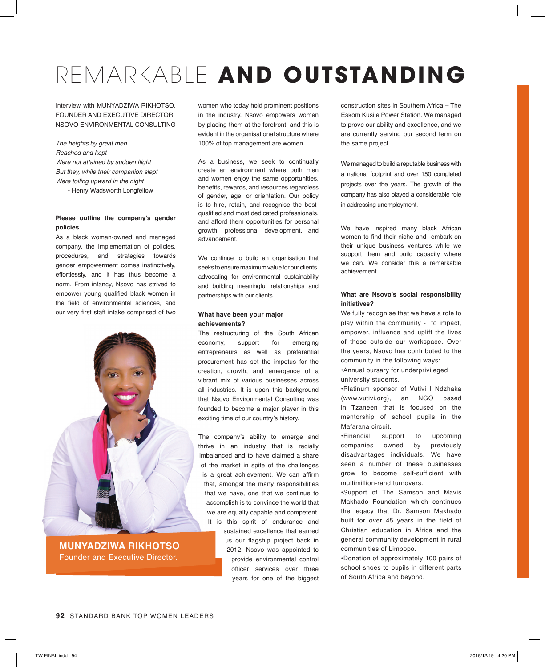# REMARKABLE **AND OUTSTANDING**

Interview with MUNYADZIWA RIKHOTSO, FOUNDER AND EXECUTIVE DIRECTOR, NSOVO ENVIRONMENTAL CONSULTING

*The heights by great men Reached and kept* Were not attained by sudden flight But they, while their companion slept *Were toiling upward in the night*

- Henry Wadsworth Longfellow

# **Please outline the company's gender policies**

As a black woman-owned and managed company, the implementation of policies, procedures, and strategies towards gender empowerment comes instinctively, effortlessly, and it has thus become a norm. From infancy, Nsovo has strived to empower young qualified black women in the field of environmental sciences, and our very first staff intake comprised of two



**MUNYADZIWA RIKHOTSO** Founder and Executive Director.

women who today hold prominent positions in the industry. Nsovo empowers women by placing them at the forefront, and this is evident in the organisational structure where 100% of top management are women.

As a business, we seek to continually create an environment where both men and women enjoy the same opportunities, benefits, rewards, and resources regardless of gender, age, or orientation. Our policy is to hire, retain, and recognise the bestqualified and most dedicated professionals, and afford them opportunities for personal growth, professional development, and advancement.

We continue to build an organisation that seeks to ensure maximum value for our clients, advocating for environmental sustainability and building meaningful relationships and partnerships with our clients.

# **What have been your major achievements?**

The restructuring of the South African economy, support for emerging entrepreneurs as well as preferential procurement has set the impetus for the creation, growth, and emergence of a vibrant mix of various businesses across all industries. It is upon this background that Nsovo Environmental Consulting was founded to become a major player in this exciting time of our country's history.

The company's ability to emerge and thrive in an industry that is racially imbalanced and to have claimed a share of the market in spite of the challenges is a great achievement. We can affirm that, amongst the many responsibilities that we have, one that we continue to accomplish is to convince the world that we are equally capable and competent. It is this spirit of endurance and sustained excellence that earned us our flagship project back in 2012. Nsovo was appointed to provide environmental control officer services over three years for one of the biggest construction sites in Southern Africa – The Eskom Kusile Power Station. We managed to prove our ability and excellence, and we are currently serving our second term on the same project.

We managed to build a reputable business with a national footprint and over 150 completed projects over the years. The growth of the company has also played a considerable role in addressing unemployment.

We have inspired many black African women to find their niche and embark on their unique business ventures while we support them and build capacity where we can. We consider this a remarkable achievement.

# **What are Nsovo's social responsibility initiatives?**

We fully recognise that we have a role to play within the community - to impact, empower, influence and uplift the lives of those outside our workspace. Over the years, Nsovo has contributed to the community in the following ways: •Annual bursary for underprivileged university students.

•Platinum sponsor of Vutivi I Ndzhaka (www.vutivi.org), an NGO based in Tzaneen that is focused on the mentorship of school pupils in the Mafarana circuit.

•Financial support to upcoming companies owned by previously disadvantages individuals. We have seen a number of these businesses grow to become self-sufficient with multimillion-rand turnovers.

•Support of The Samson and Mavis Makhado Foundation which continues the legacy that Dr. Samson Makhado built for over 45 years in the field of Christian education in Africa and the general community development in rural communities of Limpopo.

•Donation of approximately 100 pairs of school shoes to pupils in different parts of South Africa and beyond.